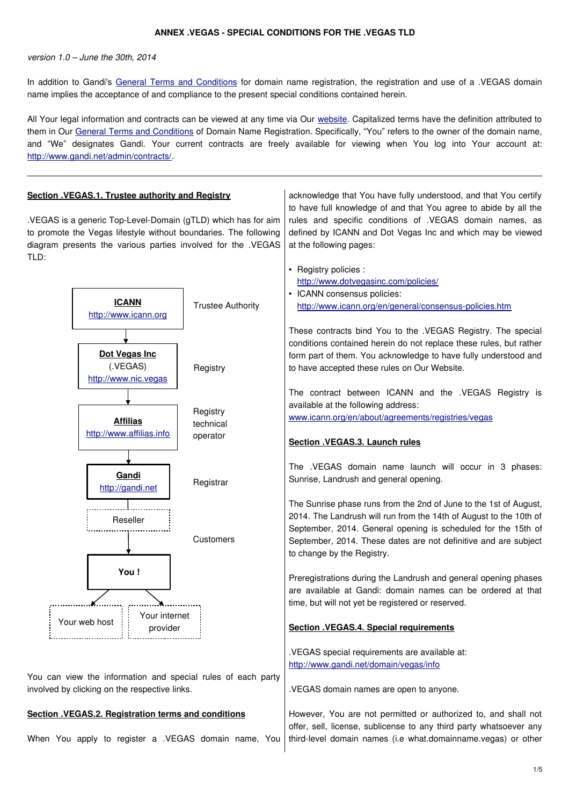#### **ANNEX .VEGAS - SPECIAL CONDITIONS FOR THE .VEGAS TLD**

version 1.0 – June the 30th, 2014

In addition to Gandi's [General Terms and Conditions](http://www.gandi.net/contracts) for domain name registration, the registration and use of a .VEGAS domain name implies the acceptance of and compliance to the present special conditions contained herein.

All Your legal information and contracts can be viewed at any time via Our [website.](http://www.gandi.net/) Capitalized terms have the definition attributed to them in Our [General Terms and Conditions](http://www.gandi.net/contracts) of Domain Name Registration. Specifically, "You" refers to the owner of the domain name, and "We" designates Gandi. Your current contracts are freely available for viewing when You log into Your account at: [http://www.gandi.net/admin/contracts/.](http://www.gandi.net/admin/contracts/)

| Section .VEGAS.1. Trustee authority and Registry                                                                                                                                                          |                          | acknowledge that You have fully understood, and that You certify                                                                                                                                                                                                                                          |
|-----------------------------------------------------------------------------------------------------------------------------------------------------------------------------------------------------------|--------------------------|-----------------------------------------------------------------------------------------------------------------------------------------------------------------------------------------------------------------------------------------------------------------------------------------------------------|
| .VEGAS is a generic Top-Level-Domain (gTLD) which has for aim<br>to promote the Vegas lifestyle without boundaries. The following<br>diagram presents the various parties involved for the .VEGAS<br>TLD: |                          | to have full knowledge of and that You agree to abide by all the<br>rules and specific conditions of .VEGAS domain names, as<br>defined by ICANN and Dot Vegas Inc and which may be viewed<br>at the following pages:                                                                                     |
| <b>ICANN</b><br>http://www.icann.org                                                                                                                                                                      | <b>Trustee Authority</b> | • Registry policies :<br>http://www.dotvegasinc.com/policies/<br>• ICANN consensus policies:<br>http://www.icann.org/en/general/consensus-policies.htm<br>These contracts bind You to the .VEGAS Registry. The special<br>conditions contained herein do not replace these rules, but rather              |
| Dot Vegas Inc<br>(.VEGAS)<br>http://www.nic.vegas                                                                                                                                                         | Registry                 | form part of them. You acknowledge to have fully understood and<br>to have accepted these rules on Our Website.                                                                                                                                                                                           |
| <b>Affilias</b>                                                                                                                                                                                           | Registry<br>technical    | The contract between ICANN and the .VEGAS Registry is<br>available at the following address:<br>www.icann.org/en/about/agreements/registries/vegas                                                                                                                                                        |
| http://www.affilias.info                                                                                                                                                                                  | operator                 | Section .VEGAS.3. Launch rules                                                                                                                                                                                                                                                                            |
| Gandi<br>http://gandi.net                                                                                                                                                                                 | Registrar                | The .VEGAS domain name launch will occur in 3 phases:<br>Sunrise, Landrush and general opening.                                                                                                                                                                                                           |
| Reseller                                                                                                                                                                                                  | Customers                | The Sunrise phase runs from the 2nd of June to the 1st of August,<br>2014. The Landrush will run from the 14th of August to the 10th of<br>September, 2014. General opening is scheduled for the 15th of<br>September, 2014. These dates are not definitive and are subject<br>to change by the Registry. |
| You!<br>Your internet                                                                                                                                                                                     |                          | Preregistrations during the Landrush and general opening phases<br>are available at Gandi: domain names can be ordered at that<br>time, but will not yet be registered or reserved.                                                                                                                       |
| Your web host<br>provider                                                                                                                                                                                 |                          | Section .VEGAS.4. Special requirements                                                                                                                                                                                                                                                                    |
| You can view the information and special rules of each party                                                                                                                                              |                          | .VEGAS special requirements are available at:<br>http://www.gandi.net/domain/vegas/info                                                                                                                                                                                                                   |
| involved by clicking on the respective links.                                                                                                                                                             |                          | .VEGAS domain names are open to anyone.                                                                                                                                                                                                                                                                   |
| Section .VEGAS.2. Registration terms and conditions<br>When You apply to register a .VEGAS domain name, You                                                                                               |                          | However, You are not permitted or authorized to, and shall not<br>offer, sell, license, sublicense to any third party whatsoever any<br>third-level domain names (i.e what.domainname.vegas) or other                                                                                                     |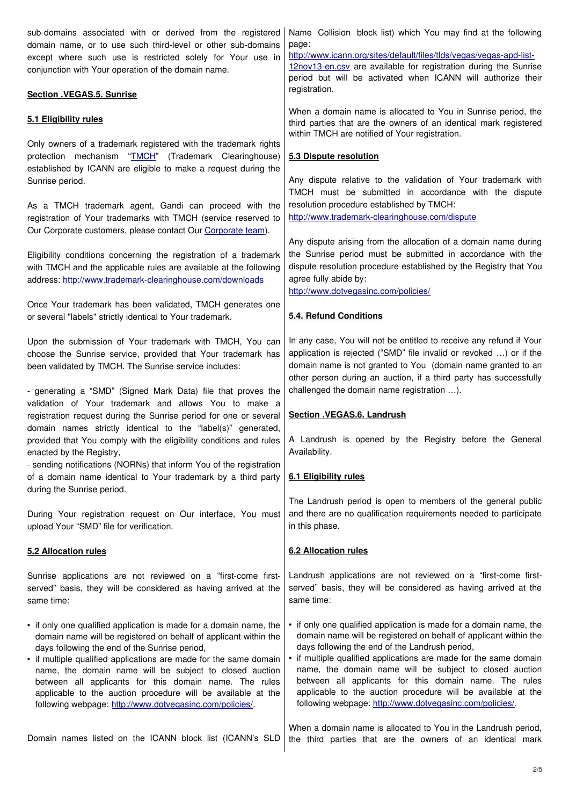| sub-domains associated with or derived from the registered<br>domain name, or to use such third-level or other sub-domains<br>except where such use is restricted solely for Your use in<br>conjunction with Your operation of the domain name.                                                                                                                                                                                                                                                               | Name Collision block list) which You may find at the following<br>page:<br>http://www.icann.org/sites/default/files/tlds/vegas/vegas-apd-list-<br>12nov13-en.csv are available for registration during the Sunrise<br>period but will be activated when ICANN will authorize their                                                                                                                                                                                                                             |
|---------------------------------------------------------------------------------------------------------------------------------------------------------------------------------------------------------------------------------------------------------------------------------------------------------------------------------------------------------------------------------------------------------------------------------------------------------------------------------------------------------------|----------------------------------------------------------------------------------------------------------------------------------------------------------------------------------------------------------------------------------------------------------------------------------------------------------------------------------------------------------------------------------------------------------------------------------------------------------------------------------------------------------------|
| <b>Section .VEGAS.5. Sunrise</b>                                                                                                                                                                                                                                                                                                                                                                                                                                                                              | registration.                                                                                                                                                                                                                                                                                                                                                                                                                                                                                                  |
| 5.1 Eligibility rules                                                                                                                                                                                                                                                                                                                                                                                                                                                                                         | When a domain name is allocated to You in Sunrise period, the<br>third parties that are the owners of an identical mark registered<br>within TMCH are notified of Your registration.                                                                                                                                                                                                                                                                                                                           |
| Only owners of a trademark registered with the trademark rights<br>"TMCH" (Trademark Clearinghouse)<br>protection mechanism<br>established by ICANN are eligible to make a request during the<br>Sunrise period.                                                                                                                                                                                                                                                                                              | 5.3 Dispute resolution<br>Any dispute relative to the validation of Your trademark with                                                                                                                                                                                                                                                                                                                                                                                                                        |
| As a TMCH trademark agent, Gandi can proceed with the<br>registration of Your trademarks with TMCH (service reserved to<br>Our Corporate customers, please contact Our Corporate team).                                                                                                                                                                                                                                                                                                                       | TMCH must be submitted in accordance with the dispute<br>resolution procedure established by TMCH:<br>http://www.trademark-clearinghouse.com/dispute                                                                                                                                                                                                                                                                                                                                                           |
| Eligibility conditions concerning the registration of a trademark<br>with TMCH and the applicable rules are available at the following<br>address: http://www.trademark-clearinghouse.com/downloads                                                                                                                                                                                                                                                                                                           | Any dispute arising from the allocation of a domain name during<br>the Sunrise period must be submitted in accordance with the<br>dispute resolution procedure established by the Registry that You<br>agree fully abide by:<br>http://www.dotvegasinc.com/policies/                                                                                                                                                                                                                                           |
| Once Your trademark has been validated, TMCH generates one<br>or several "labels" strictly identical to Your trademark.                                                                                                                                                                                                                                                                                                                                                                                       | 5.4. Refund Conditions                                                                                                                                                                                                                                                                                                                                                                                                                                                                                         |
| Upon the submission of Your trademark with TMCH, You can<br>choose the Sunrise service, provided that Your trademark has<br>been validated by TMCH. The Sunrise service includes:<br>- generating a "SMD" (Signed Mark Data) file that proves the                                                                                                                                                                                                                                                             | In any case, You will not be entitled to receive any refund if Your<br>application is rejected ("SMD" file invalid or revoked ) or if the<br>domain name is not granted to You (domain name granted to an<br>other person during an auction, if a third party has successfully<br>challenged the domain name registration ).                                                                                                                                                                                   |
| validation of Your trademark and allows You to make a<br>registration request during the Sunrise period for one or several<br>domain names strictly identical to the "label(s)" generated,                                                                                                                                                                                                                                                                                                                    | Section .VEGAS.6. Landrush                                                                                                                                                                                                                                                                                                                                                                                                                                                                                     |
| provided that You comply with the eligibility conditions and rules<br>enacted by the Registry,                                                                                                                                                                                                                                                                                                                                                                                                                | A Landrush is opened by the Registry before the General<br>Availability.                                                                                                                                                                                                                                                                                                                                                                                                                                       |
| - sending notifications (NORNs) that inform You of the registration<br>of a domain name identical to Your trademark by a third party<br>during the Sunrise period.                                                                                                                                                                                                                                                                                                                                            | 6.1 Eligibility rules                                                                                                                                                                                                                                                                                                                                                                                                                                                                                          |
| During Your registration request on Our interface, You must<br>upload Your "SMD" file for verification.                                                                                                                                                                                                                                                                                                                                                                                                       | The Landrush period is open to members of the general public<br>and there are no qualification requirements needed to participate<br>in this phase.                                                                                                                                                                                                                                                                                                                                                            |
| 5.2 Allocation rules                                                                                                                                                                                                                                                                                                                                                                                                                                                                                          | 6.2 Allocation rules                                                                                                                                                                                                                                                                                                                                                                                                                                                                                           |
| Sunrise applications are not reviewed on a "first-come first-<br>served" basis, they will be considered as having arrived at the<br>same time:                                                                                                                                                                                                                                                                                                                                                                | Landrush applications are not reviewed on a "first-come first-<br>served" basis, they will be considered as having arrived at the<br>same time:                                                                                                                                                                                                                                                                                                                                                                |
| • if only one qualified application is made for a domain name, the<br>domain name will be registered on behalf of applicant within the<br>days following the end of the Sunrise period,<br>• if multiple qualified applications are made for the same domain<br>name, the domain name will be subject to closed auction<br>between all applicants for this domain name. The rules<br>applicable to the auction procedure will be available at the<br>following webpage: http://www.dotvegasinc.com/policies/. | • if only one qualified application is made for a domain name, the<br>domain name will be registered on behalf of applicant within the<br>days following the end of the Landrush period,<br>• if multiple qualified applications are made for the same domain<br>name, the domain name will be subject to closed auction<br>between all applicants for this domain name. The rules<br>applicable to the auction procedure will be available at the<br>following webpage: http://www.dotvegasinc.com/policies/. |
| Domain names listed on the ICANN block list (ICANN's SLD                                                                                                                                                                                                                                                                                                                                                                                                                                                      | When a domain name is allocated to You in the Landrush period,<br>the third parties that are the owners of an identical mark                                                                                                                                                                                                                                                                                                                                                                                   |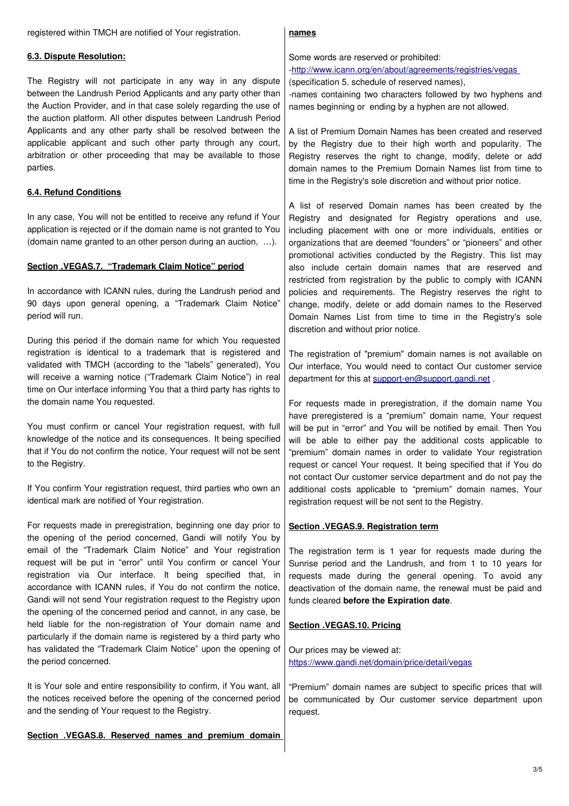registered within TMCH are notified of Your registration.

### **6.3. Dispute Resolution:**

The Registry will not participate in any way in any dispute between the Landrush Period Applicants and any party other than the Auction Provider, and in that case solely regarding the use of the auction platform. All other disputes between Landrush Period Applicants and any other party shall be resolved between the applicable applicant and such other party through any court, arbitration or other proceeding that may be available to those parties.

# **6.4. Refund Conditions**

In any case, You will not be entitled to receive any refund if Your application is rejected or if the domain name is not granted to You (domain name granted to an other person during an auction, …).

## Section . VEGAS.7. "Trademark Claim Notice" period

In accordance with ICANN rules, during the Landrush period and 90 days upon general opening, a "Trademark Claim Notice" period will run.

During this period if the domain name for which You requested registration is identical to a trademark that is registered and validated with TMCH (according to the "labels" generated), You will receive a warning notice ("Trademark Claim Notice") in real time on Our interface informing You that a third party has rights to the domain name You requested.

You must confirm or cancel Your registration request, with full knowledge of the notice and its consequences. It being specified that if You do not confirm the notice, Your request will not be sent to the Registry.

If You confirm Your registration request, third parties who own an identical mark are notified of Your registration.

For requests made in preregistration, beginning one day prior to the opening of the period concerned, Gandi will notify You by email of the "Trademark Claim Notice" and Your registration request will be put in "error" until You confirm or cancel Your registration via Our interface. It being specified that, in accordance with ICANN rules, if You do not confirm the notice, Gandi will not send Your registration request to the Registry upon the opening of the concerned period and cannot, in any case, be held liable for the non-registration of Your domain name and particularly if the domain name is registered by a third party who has validated the "Trademark Claim Notice" upon the opening of the period concerned.

It is Your sole and entire responsibility to confirm, if You want, all the notices received before the opening of the concerned period and the sending of Your request to the Registry.

### **Section .VEGAS.8. Reserved names and premium domain**

#### **names**

Some words are reserved or prohibited: [-http://www.icann.org/en/about/agreements/registries/vegas](http://www.icann.org/en/about/agreements/registries/vegas)

(specification 5. schedule of reserved names),

-names containing two characters followed by two hyphens and names beginning or ending by a hyphen are not allowed.

A list of Premium Domain Names has been created and reserved by the Registry due to their high worth and popularity. The Registry reserves the right to change, modify, delete or add domain names to the Premium Domain Names list from time to time in the Registry's sole discretion and without prior notice.

A list of reserved Domain names has been created by the Registry and designated for Registry operations and use, including placement with one or more individuals, entities or organizations that are deemed "founders" or "pioneers" and other promotional activities conducted by the Registry. This list may also include certain domain names that are reserved and restricted from registration by the public to comply with ICANN policies and requirements. The Registry reserves the right to change, modify, delete or add domain names to the Reserved Domain Names List from time to time in the Registry's sole discretion and without prior notice.

The registration of "premium" domain names is not available on Our interface, You would need to contact Our customer service department for this at [support-en@support.gandi.net](mailto:support-en@support.gandi.net) .

For requests made in preregistration, if the domain name You have preregistered is a "premium" domain name, Your request will be put in "error" and You will be notified by email. Then You will be able to either pay the additional costs applicable to "premium" domain names in order to validate Your registration request or cancel Your request. It being specified that if You do not contact Our customer service department and do not pay the additional costs applicable to "premium" domain names, Your registration request will be not sent to the Registry.

### **Section . VEGAS .9. Registration term**

The registration term is 1 year for requests made during the Sunrise period and the Landrush, and from 1 to 10 years for requests made during the general opening. To avoid any deactivation of the domain name, the renewal must be paid and funds cleared **before the Expiration date**.

### **Section . VEGAS .10. Pricing**

Our prices may be viewed at: <https://www.gandi.net/domain/price/detail/vegas>

"Premium" domain names are subject to specific prices that will be communicated by Our customer service department upon request.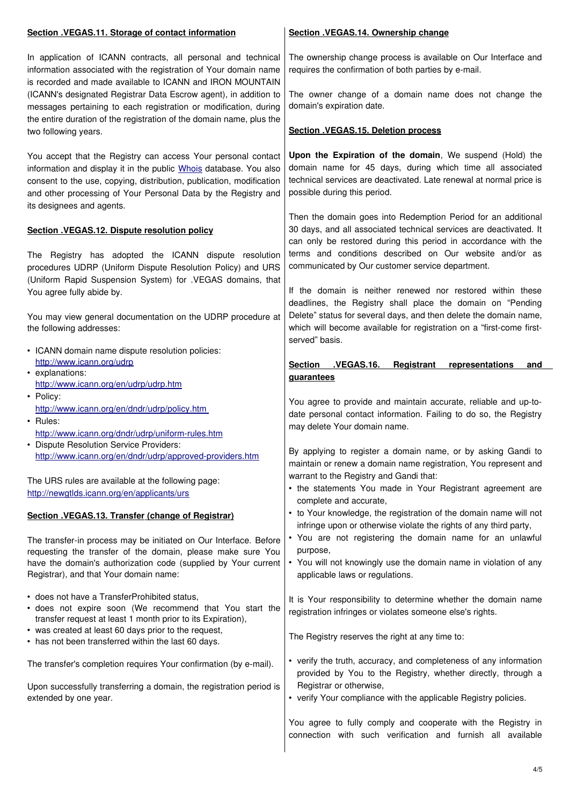| Section .VEGAS.11. Storage of contact information                                                                                                                                                                                                                                                         | Section .VEGAS.14. Ownership change                                                                                                                                                                                          |
|-----------------------------------------------------------------------------------------------------------------------------------------------------------------------------------------------------------------------------------------------------------------------------------------------------------|------------------------------------------------------------------------------------------------------------------------------------------------------------------------------------------------------------------------------|
| In application of ICANN contracts, all personal and technical<br>information associated with the registration of Your domain name<br>is recorded and made available to ICANN and IRON MOUNTAIN                                                                                                            | The ownership change process is available on Our Interface and<br>requires the confirmation of both parties by e-mail.                                                                                                       |
| (ICANN's designated Registrar Data Escrow agent), in addition to<br>messages pertaining to each registration or modification, during<br>the entire duration of the registration of the domain name, plus the                                                                                              | The owner change of a domain name does not change the<br>domain's expiration date.                                                                                                                                           |
| two following years.                                                                                                                                                                                                                                                                                      | Section .VEGAS.15. Deletion process                                                                                                                                                                                          |
| You accept that the Registry can access Your personal contact<br>information and display it in the public Whois database. You also<br>consent to the use, copying, distribution, publication, modification<br>and other processing of Your Personal Data by the Registry and<br>its designees and agents. | Upon the Expiration of the domain, We suspend (Hold) the<br>domain name for 45 days, during which time all associated<br>technical services are deactivated. Late renewal at normal price is<br>possible during this period. |
|                                                                                                                                                                                                                                                                                                           | Then the domain goes into Redemption Period for an additional                                                                                                                                                                |
| Section .VEGAS.12. Dispute resolution policy                                                                                                                                                                                                                                                              | 30 days, and all associated technical services are deactivated. It<br>can only be restored during this period in accordance with the                                                                                         |
| The Registry has adopted the ICANN dispute resolution<br>procedures UDRP (Uniform Dispute Resolution Policy) and URS                                                                                                                                                                                      | terms and conditions described on Our website and/or as<br>communicated by Our customer service department.                                                                                                                  |
| (Uniform Rapid Suspension System) for .VEGAS domains, that<br>You agree fully abide by.                                                                                                                                                                                                                   | If the domain is neither renewed nor restored within these                                                                                                                                                                   |
|                                                                                                                                                                                                                                                                                                           | deadlines, the Registry shall place the domain on "Pending                                                                                                                                                                   |
| You may view general documentation on the UDRP procedure at<br>the following addresses:                                                                                                                                                                                                                   | Delete" status for several days, and then delete the domain name,<br>which will become available for registration on a "first-come first-<br>served" basis.                                                                  |
| • ICANN domain name dispute resolution policies:                                                                                                                                                                                                                                                          |                                                                                                                                                                                                                              |
| http://www.icann.org/udrp<br>• explanations:                                                                                                                                                                                                                                                              | .VEGAS.16.<br><b>Section</b><br>Registrant<br>representations<br>and                                                                                                                                                         |
| http://www.icann.org/en/udrp/udrp.htm                                                                                                                                                                                                                                                                     | <b>guarantees</b>                                                                                                                                                                                                            |
| • Policy:                                                                                                                                                                                                                                                                                                 | You agree to provide and maintain accurate, reliable and up-to-                                                                                                                                                              |
| http://www.icann.org/en/dndr/udrp/policy.htm<br>$\cdot$ Rules:                                                                                                                                                                                                                                            | date personal contact information. Failing to do so, the Registry                                                                                                                                                            |
| http://www.icann.org/dndr/udrp/uniform-rules.htm                                                                                                                                                                                                                                                          | may delete Your domain name.                                                                                                                                                                                                 |
| • Dispute Resolution Service Providers:<br>http://www.icann.org/en/dndr/udrp/approved-providers.htm                                                                                                                                                                                                       | By applying to register a domain name, or by asking Gandi to                                                                                                                                                                 |
|                                                                                                                                                                                                                                                                                                           | maintain or renew a domain name registration, You represent and                                                                                                                                                              |
| The URS rules are available at the following page:                                                                                                                                                                                                                                                        | warrant to the Registry and Gandi that:<br>• the statements You made in Your Registrant agreement are                                                                                                                        |
| http://newgtlds.icann.org/en/applicants/urs                                                                                                                                                                                                                                                               | complete and accurate,                                                                                                                                                                                                       |
| Section .VEGAS.13. Transfer (change of Registrar)                                                                                                                                                                                                                                                         | • to Your knowledge, the registration of the domain name will not                                                                                                                                                            |
|                                                                                                                                                                                                                                                                                                           | infringe upon or otherwise violate the rights of any third party,<br>• You are not registering the domain name for an unlawful                                                                                               |
| The transfer-in process may be initiated on Our Interface. Before<br>requesting the transfer of the domain, please make sure You                                                                                                                                                                          | purpose,                                                                                                                                                                                                                     |
| have the domain's authorization code (supplied by Your current<br>Registrar), and that Your domain name:                                                                                                                                                                                                  | • You will not knowingly use the domain name in violation of any<br>applicable laws or regulations.                                                                                                                          |
| • does not have a TransferProhibited status,<br>· does not expire soon (We recommend that You start the<br>transfer request at least 1 month prior to its Expiration),                                                                                                                                    | It is Your responsibility to determine whether the domain name<br>registration infringes or violates someone else's rights.                                                                                                  |
| • was created at least 60 days prior to the request,<br>• has not been transferred within the last 60 days.                                                                                                                                                                                               | The Registry reserves the right at any time to:                                                                                                                                                                              |
| The transfer's completion requires Your confirmation (by e-mail).                                                                                                                                                                                                                                         | • verify the truth, accuracy, and completeness of any information<br>provided by You to the Registry, whether directly, through a                                                                                            |
| Upon successfully transferring a domain, the registration period is<br>extended by one year.                                                                                                                                                                                                              | Registrar or otherwise,<br>• verify Your compliance with the applicable Registry policies.                                                                                                                                   |
|                                                                                                                                                                                                                                                                                                           | You agree to fully comply and cooperate with the Registry in<br>connection with such verification and furnish all available                                                                                                  |